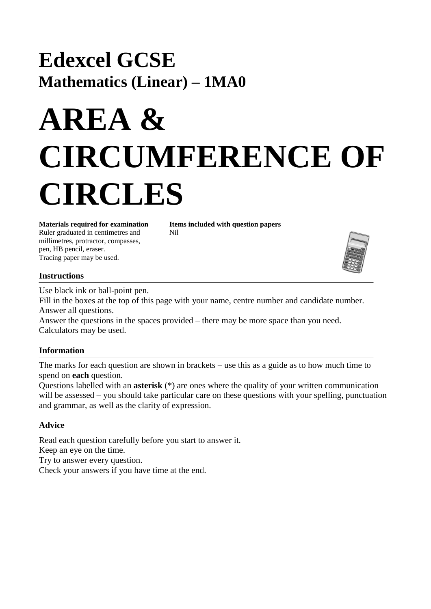## **Edexcel GCSE Mathematics (Linear) – 1MA0**

# **AREA & CIRCUMFERENCE OF CIRCLES**

**Materials required for examination Items included with question papers** Ruler graduated in centimetres and Nil millimetres, protractor, compasses, pen, HB pencil, eraser. Tracing paper may be used.



### **Instructions**

Use black ink or ball-point pen.

Fill in the boxes at the top of this page with your name, centre number and candidate number. Answer all questions.

Answer the questions in the spaces provided – there may be more space than you need. Calculators may be used.

### **Information**

The marks for each question are shown in brackets – use this as a guide as to how much time to spend on **each** question.

Questions labelled with an **asterisk** (\*) are ones where the quality of your written communication will be assessed – you should take particular care on these questions with your spelling, punctuation and grammar, as well as the clarity of expression.

### **Advice**

Read each question carefully before you start to answer it. Keep an eye on the time. Try to answer every question. Check your answers if you have time at the end.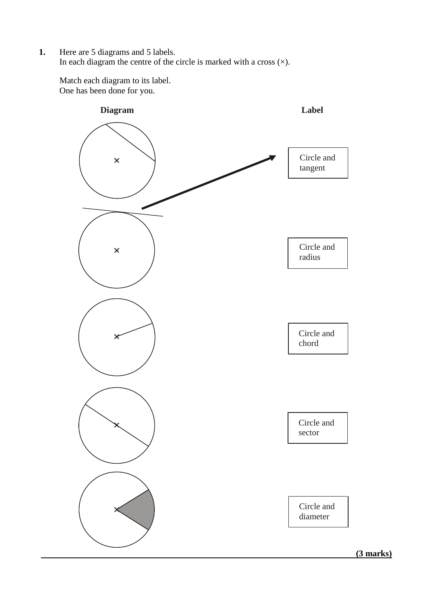**1.** Here are 5 diagrams and 5 labels. In each diagram the centre of the circle is marked with a cross  $(\times)$ .

Match each diagram to its label. One has been done for you.

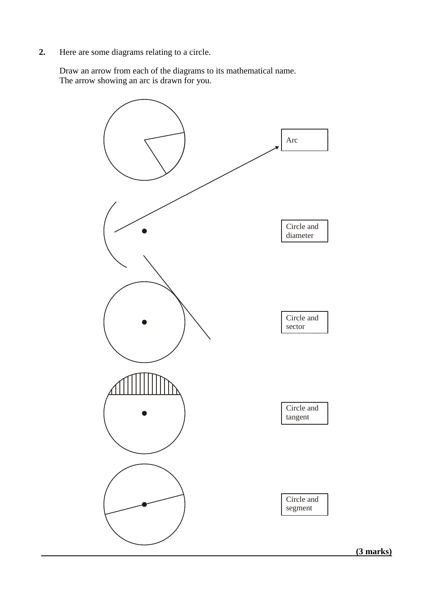**2.** Here are some diagrams relating to a circle.

Draw an arrow from each of the diagrams to its mathematical name. The arrow showing an arc is drawn for you.

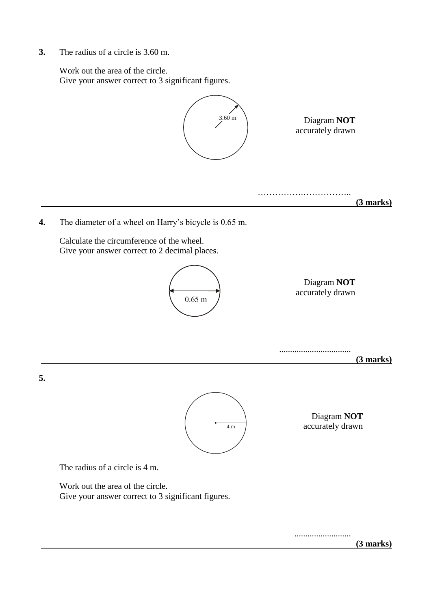**3.** The radius of a circle is 3.60 m.

Work out the area of the circle. Give your answer correct to 3 significant figures.



 **(3 marks)**

..........................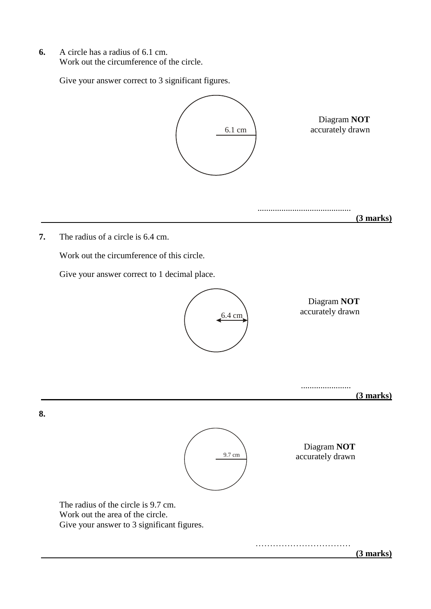**6.** A circle has a radius of 6.1 cm. Work out the circumference of the circle.

Give your answer correct to 3 significant figures.

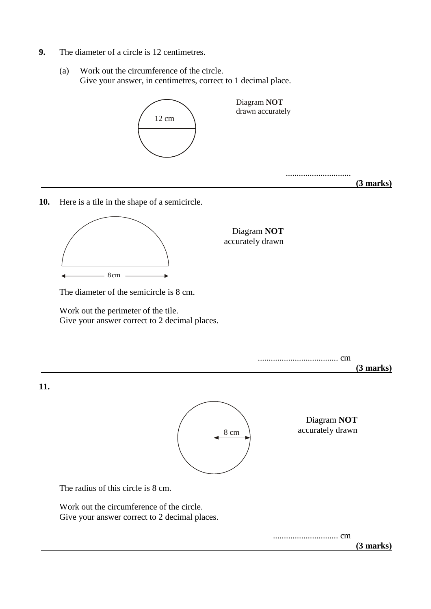- **9.** The diameter of a circle is 12 centimetres.
	- (a) Work out the circumference of the circle. Give your answer, in centimetres, correct to 1 decimal place.



**10.** Here is a tile in the shape of a semicircle.



Diagram **NOT** accurately drawn

The diameter of the semicircle is 8 cm.

Work out the perimeter of the tile. Give your answer correct to 2 decimal places.

..................................... cm

 **(3 marks)**

**11.**



Diagram **NOT** accurately drawn

The radius of this circle is 8 cm.

Work out the circumference of the circle. Give your answer correct to 2 decimal places.

.............................. cm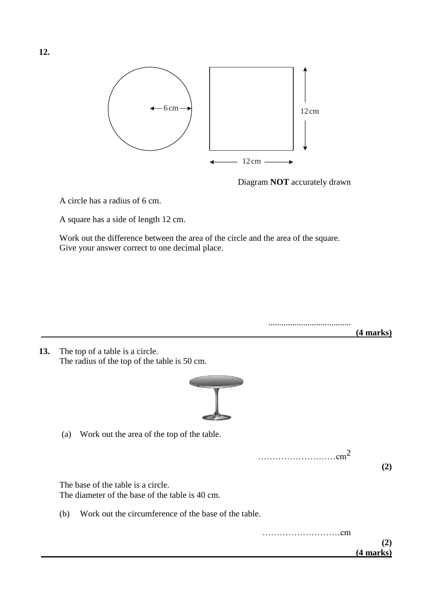

Diagram **NOT** accurately drawn

A circle has a radius of 6 cm.

A square has a side of length 12 cm.

Work out the difference between the area of the circle and the area of the square. Give your answer correct to one decimal place.